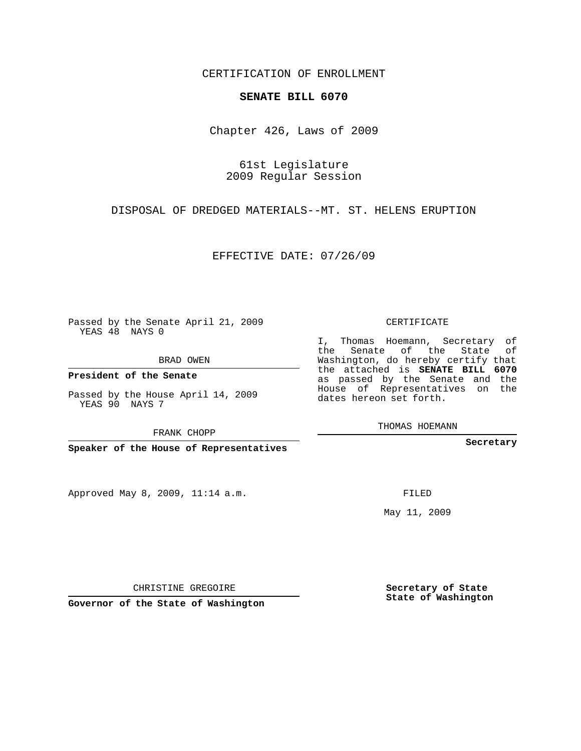## CERTIFICATION OF ENROLLMENT

## **SENATE BILL 6070**

Chapter 426, Laws of 2009

61st Legislature 2009 Regular Session

DISPOSAL OF DREDGED MATERIALS--MT. ST. HELENS ERUPTION

EFFECTIVE DATE: 07/26/09

Passed by the Senate April 21, 2009 YEAS 48 NAYS 0

BRAD OWEN

**President of the Senate**

YEAS 90 NAYS 7

**Speaker of the House of Representatives**

Approved May 8, 2009, 11:14 a.m.

CERTIFICATE

I, Thomas Hoemann, Secretary of the Senate of the State of Washington, do hereby certify that the attached is **SENATE BILL 6070** as passed by the Senate and the House of Representatives on the dates hereon set forth.

THOMAS HOEMANN

**Secretary**

May 11, 2009

**Secretary of State State of Washington**

CHRISTINE GREGOIRE

**Governor of the State of Washington**

Passed by the House April 14, 2009

FRANK CHOPP

FILED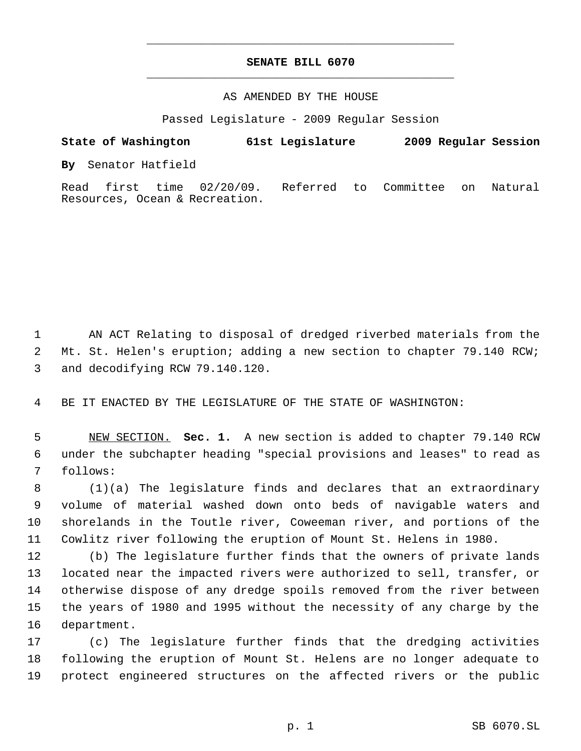## **SENATE BILL 6070** \_\_\_\_\_\_\_\_\_\_\_\_\_\_\_\_\_\_\_\_\_\_\_\_\_\_\_\_\_\_\_\_\_\_\_\_\_\_\_\_\_\_\_\_\_

\_\_\_\_\_\_\_\_\_\_\_\_\_\_\_\_\_\_\_\_\_\_\_\_\_\_\_\_\_\_\_\_\_\_\_\_\_\_\_\_\_\_\_\_\_

## AS AMENDED BY THE HOUSE

Passed Legislature - 2009 Regular Session

**State of Washington 61st Legislature 2009 Regular Session By** Senator Hatfield Read first time 02/20/09. Referred to Committee on Natural

 AN ACT Relating to disposal of dredged riverbed materials from the Mt. St. Helen's eruption; adding a new section to chapter 79.140 RCW; and decodifying RCW 79.140.120.

BE IT ENACTED BY THE LEGISLATURE OF THE STATE OF WASHINGTON:

Resources, Ocean & Recreation.

 NEW SECTION. **Sec. 1.** A new section is added to chapter 79.140 RCW under the subchapter heading "special provisions and leases" to read as follows:

 (1)(a) The legislature finds and declares that an extraordinary volume of material washed down onto beds of navigable waters and shorelands in the Toutle river, Coweeman river, and portions of the Cowlitz river following the eruption of Mount St. Helens in 1980.

 (b) The legislature further finds that the owners of private lands located near the impacted rivers were authorized to sell, transfer, or otherwise dispose of any dredge spoils removed from the river between the years of 1980 and 1995 without the necessity of any charge by the department.

 (c) The legislature further finds that the dredging activities following the eruption of Mount St. Helens are no longer adequate to protect engineered structures on the affected rivers or the public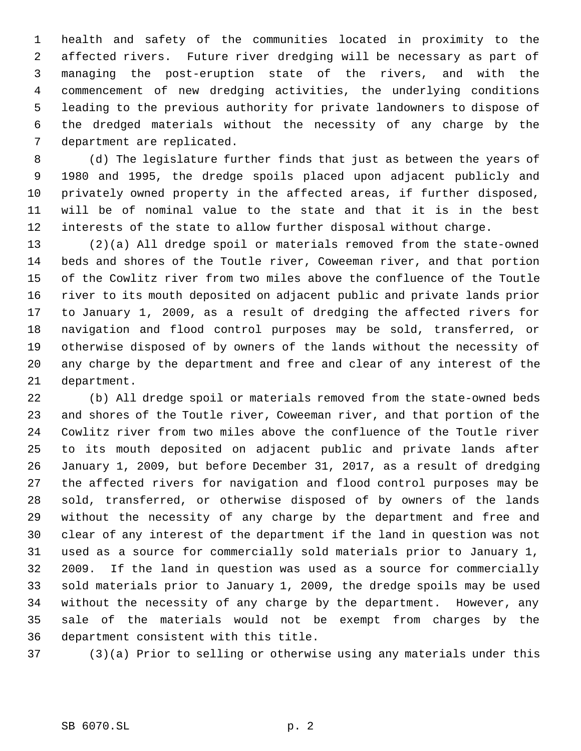health and safety of the communities located in proximity to the affected rivers. Future river dredging will be necessary as part of managing the post-eruption state of the rivers, and with the commencement of new dredging activities, the underlying conditions leading to the previous authority for private landowners to dispose of the dredged materials without the necessity of any charge by the department are replicated.

 (d) The legislature further finds that just as between the years of 1980 and 1995, the dredge spoils placed upon adjacent publicly and privately owned property in the affected areas, if further disposed, will be of nominal value to the state and that it is in the best interests of the state to allow further disposal without charge.

 (2)(a) All dredge spoil or materials removed from the state-owned beds and shores of the Toutle river, Coweeman river, and that portion of the Cowlitz river from two miles above the confluence of the Toutle river to its mouth deposited on adjacent public and private lands prior to January 1, 2009, as a result of dredging the affected rivers for navigation and flood control purposes may be sold, transferred, or otherwise disposed of by owners of the lands without the necessity of any charge by the department and free and clear of any interest of the department.

 (b) All dredge spoil or materials removed from the state-owned beds and shores of the Toutle river, Coweeman river, and that portion of the Cowlitz river from two miles above the confluence of the Toutle river to its mouth deposited on adjacent public and private lands after January 1, 2009, but before December 31, 2017, as a result of dredging the affected rivers for navigation and flood control purposes may be sold, transferred, or otherwise disposed of by owners of the lands without the necessity of any charge by the department and free and clear of any interest of the department if the land in question was not used as a source for commercially sold materials prior to January 1, 2009. If the land in question was used as a source for commercially sold materials prior to January 1, 2009, the dredge spoils may be used without the necessity of any charge by the department. However, any sale of the materials would not be exempt from charges by the department consistent with this title.

(3)(a) Prior to selling or otherwise using any materials under this